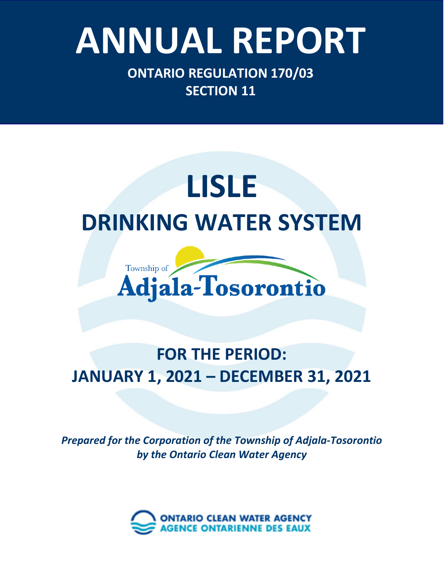# Ontario Clean Water Agency – *Minesing Well Supply System* **ANNUAL REPORT**

**ONTARIO REGULATION 170/03 SECTION 11**

## **LISLE DRINKING WATER SYSTEM**



### **FOR THE PERIOD: JANUARY 1, 2021 – DECEMBER 31, 2021**

*Prepared for the Corporation of the Township of Adjala-Tosorontio by the Ontario Clean Water Agency*

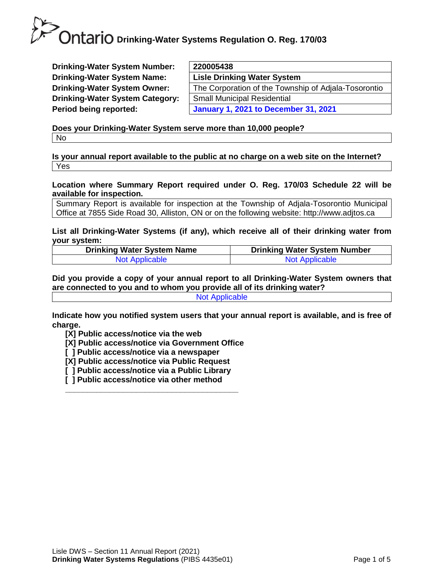**Drinking-Water System Number: Drinking-Water System Name: Drinking-Water System Owner: Drinking-Water System Category: Period being reported:** 

| 220005438                                            |
|------------------------------------------------------|
| <b>Lisle Drinking Water System</b>                   |
| The Corporation of the Township of Adjala-Tosorontio |
| <b>Small Municipal Residential</b>                   |
| <b>January 1, 2021 to December 31, 2021</b>          |
|                                                      |

**Does your Drinking-Water System serve more than 10,000 people?**  No

**Is your annual report available to the public at no charge on a web site on the Internet?**  Yes

**Location where Summary Report required under O. Reg. 170/03 Schedule 22 will be available for inspection.** 

Summary Report is available for inspection at the Township of Adjala-Tosorontio Municipal Office at 7855 Side Road 30, Alliston, ON or on the following website: http://www.adjtos.ca

**List all Drinking-Water Systems (if any), which receive all of their drinking water from your system:**

| <b>Drinking Water System Name</b> | <b>Drinking Water System Number</b> |
|-----------------------------------|-------------------------------------|
| Not Applicable                    | <b>Not Applicable</b>               |

**Did you provide a copy of your annual report to all Drinking-Water System owners that are connected to you and to whom you provide all of its drinking water?**  Not Applicable

**Indicate how you notified system users that your annual report is available, and is free of charge.** 

**[X] Public access/notice via the web** 

**[X] Public access/notice via Government Office**

- **[ ] Public access/notice via a newspaper**
- **[X] Public access/notice via Public Request**
- **[ ] Public access/notice via a Public Library**

**\_\_\_\_\_\_\_\_\_\_\_\_\_\_\_\_\_\_\_\_\_\_\_\_\_\_\_\_\_\_\_\_\_\_\_\_\_\_\_**

**[ ] Public access/notice via other method**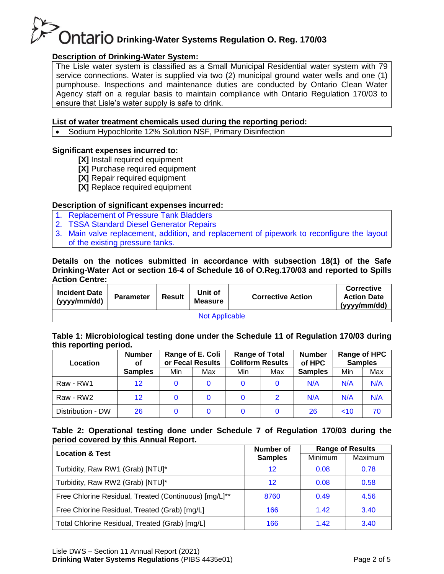#### **Description of Drinking-Water System:**

The Lisle water system is classified as a Small Municipal Residential water system with 79 service connections. Water is supplied via two (2) municipal ground water wells and one (1) pumphouse. Inspections and maintenance duties are conducted by Ontario Clean Water Agency staff on a regular basis to maintain compliance with Ontario Regulation 170/03 to ensure that Lisle's water supply is safe to drink.

#### **List of water treatment chemicals used during the reporting period:**

• Sodium Hypochlorite 12% Solution NSF, Primary Disinfection

#### **Significant expenses incurred to:**

- **[X]** Install required equipment
- **[X]** Purchase required equipment
- **[X]** Repair required equipment
- **[X]** Replace required equipment

#### **Description of significant expenses incurred:**

- 1. Replacement of Pressure Tank Bladders
- 2. TSSA Standard Diesel Generator Repairs
- 3. Main valve replacement, addition, and replacement of pipework to reconfigure the layout of the existing pressure tanks.

#### **Details on the notices submitted in accordance with subsection 18(1) of the Safe Drinking-Water Act or section 16-4 of Schedule 16 of O.Reg.170/03 and reported to Spills Action Centre:**

| <b>Incident Date</b><br>(yyyy/mm/dd) | <b>Parameter</b> | <b>Result</b> | Unit of<br><b>Measure</b> | <b>Corrective Action</b> | <b>Corrective</b><br><b>Action Date</b><br>(yyyy/mm/dd) |  |
|--------------------------------------|------------------|---------------|---------------------------|--------------------------|---------------------------------------------------------|--|
| <b>Not Applicable</b>                |                  |               |                           |                          |                                                         |  |

#### **Table 1: Microbiological testing done under the Schedule 11 of Regulation 170/03 during this reporting period.**

| Location          | <b>Number</b><br>Οf | Range of E. Coli<br>or Fecal Results |     | <b>Range of Total</b><br><b>Coliform Results</b> |               | <b>Number</b><br>of HPC | <b>Samples</b> | Range of HPC |
|-------------------|---------------------|--------------------------------------|-----|--------------------------------------------------|---------------|-------------------------|----------------|--------------|
|                   | <b>Samples</b>      | Min                                  | Max | Min                                              | Max           | <b>Samples</b>          | Min            | Max          |
| Raw - RW1         | 12                  |                                      | 0   |                                                  |               | N/A                     | N/A            | N/A          |
| Raw - RW2         | $12 \,$             |                                      | 0   |                                                  | $\mathcal{P}$ | N/A                     | N/A            | N/A          |
| Distribution - DW | 26                  |                                      | 0   |                                                  |               | 26                      | ~10            | 70           |

#### **Table 2: Operational testing done under Schedule 7 of Regulation 170/03 during the period covered by this Annual Report.**

| <b>Location &amp; Test</b>                            | Number of      |         | <b>Range of Results</b> |
|-------------------------------------------------------|----------------|---------|-------------------------|
|                                                       | <b>Samples</b> | Minimum | Maximum                 |
| Turbidity, Raw RW1 (Grab) [NTU]*                      | 12             | 0.08    | 0.78                    |
| Turbidity, Raw RW2 (Grab) [NTU]*                      | 12             | 0.08    | 0.58                    |
| Free Chlorine Residual, Treated (Continuous) [mg/L]** | 8760           | 0.49    | 4.56                    |
| Free Chlorine Residual, Treated (Grab) [mg/L]         | 166            | 1.42    | 3.40                    |
| Total Chlorine Residual, Treated (Grab) [mg/L]        | 166            | 1.42    | 3.40                    |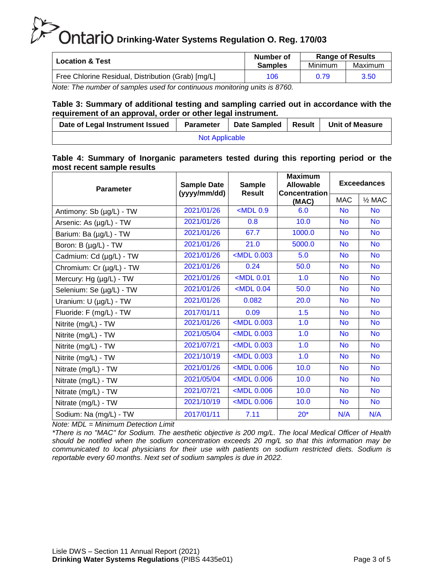| <b>Location &amp; Test</b>                         | Number of      | <b>Range of Results</b> |         |  |
|----------------------------------------------------|----------------|-------------------------|---------|--|
|                                                    | <b>Samples</b> | Minimum                 | Maximum |  |
| Free Chlorine Residual, Distribution (Grab) [mg/L] | 106            | 0.79                    | 3.50    |  |

*Note: The number of samples used for continuous monitoring units is 8760.* 

#### **Table 3: Summary of additional testing and sampling carried out in accordance with the requirement of an approval, order or other legal instrument.**

| Date of Legal Instrument Issued | <b>Parameter</b> | Date Sampled | ` I Result | <b>Unit of Measure</b> |  |  |
|---------------------------------|------------------|--------------|------------|------------------------|--|--|
| <b>Not Applicable</b>           |                  |              |            |                        |  |  |

#### **Table 4: Summary of Inorganic parameters tested during this reporting period or the most recent sample results**

| <b>Parameter</b>         | <b>Sample Date</b><br>(yyyy/mm/dd) | Sample<br><b>Result</b>                                                      | <b>Maximum</b><br><b>Allowable</b><br><b>Concentration</b> | <b>Exceedances</b> |                   |  |
|--------------------------|------------------------------------|------------------------------------------------------------------------------|------------------------------------------------------------|--------------------|-------------------|--|
|                          |                                    |                                                                              | (MAC)                                                      | <b>MAC</b>         | $\frac{1}{2}$ MAC |  |
| Antimony: Sb (µg/L) - TW | 2021/01/26                         | $<$ MDL $0.9$                                                                | 6.0                                                        | <b>No</b>          | <b>No</b>         |  |
| Arsenic: As (µg/L) - TW  | 2021/01/26                         | 0.8                                                                          | 10.0                                                       | <b>No</b>          | <b>No</b>         |  |
| Barium: Ba (µg/L) - TW   | 2021/01/26                         | 67.7                                                                         | 1000.0                                                     | <b>No</b>          | <b>No</b>         |  |
| Boron: B (µg/L) - TW     | 2021/01/26                         | 21.0                                                                         | 5000.0                                                     | <b>No</b>          | <b>No</b>         |  |
| Cadmium: Cd (µg/L) - TW  | 2021/01/26                         | $MDL$ 0.003                                                                  | 5.0                                                        | <b>No</b>          | <b>No</b>         |  |
| Chromium: Cr (µg/L) - TW | 2021/01/26                         | 0.24                                                                         | 50.0                                                       | <b>No</b>          | <b>No</b>         |  |
| Mercury: Hg (µg/L) - TW  | 2021/01/26                         | <mdl 0.01<="" td=""><td>1.0</td><td><b>No</b></td><td><b>No</b></td></mdl>   | 1.0                                                        | <b>No</b>          | <b>No</b>         |  |
| Selenium: Se (µg/L) - TW | 2021/01/26                         | $<$ MDL 0.04                                                                 | 50.0                                                       | <b>No</b>          | <b>No</b>         |  |
| Uranium: U (µg/L) - TW   | 2021/01/26                         | 0.082                                                                        | 20.0                                                       | <b>No</b>          | <b>No</b>         |  |
| Fluoride: F (mg/L) - TW  | 2017/01/11                         | 0.09                                                                         | 1.5                                                        | <b>No</b>          | <b>No</b>         |  |
| Nitrite (mg/L) - TW      | 2021/01/26                         | <mdl 0.003<="" td=""><td>1.0</td><td><b>No</b></td><td><b>No</b></td></mdl>  | 1.0                                                        | <b>No</b>          | <b>No</b>         |  |
| Nitrite (mg/L) - TW      | 2021/05/04                         | <mdl 0.003<="" td=""><td>1.0</td><td><b>No</b></td><td><b>No</b></td></mdl>  | 1.0                                                        | <b>No</b>          | <b>No</b>         |  |
| Nitrite (mg/L) - TW      | 2021/07/21                         | <mdl 0.003<="" td=""><td>1.0</td><td><b>No</b></td><td><b>No</b></td></mdl>  | 1.0                                                        | <b>No</b>          | <b>No</b>         |  |
| Nitrite (mg/L) - TW      | 2021/10/19                         | <mdl 0.003<="" td=""><td>1.0</td><td><b>No</b></td><td><b>No</b></td></mdl>  | 1.0                                                        | <b>No</b>          | <b>No</b>         |  |
| Nitrate (mg/L) - TW      | 2021/01/26                         | <mdl 0.006<="" td=""><td>10.0</td><td><b>No</b></td><td><b>No</b></td></mdl> | 10.0                                                       | <b>No</b>          | <b>No</b>         |  |
| Nitrate (mg/L) - TW      | 2021/05/04                         | <mdl 0.006<="" td=""><td>10.0</td><td><b>No</b></td><td><b>No</b></td></mdl> | 10.0                                                       | <b>No</b>          | <b>No</b>         |  |
| Nitrate (mg/L) - TW      | 2021/07/21                         | <mdl 0.006<="" td=""><td>10.0</td><td><b>No</b></td><td><b>No</b></td></mdl> | 10.0                                                       | <b>No</b>          | <b>No</b>         |  |
| Nitrate (mg/L) - TW      | 2021/10/19                         | <mdl 0.006<="" td=""><td>10.0</td><td><b>No</b></td><td><b>No</b></td></mdl> | 10.0                                                       | <b>No</b>          | <b>No</b>         |  |
| Sodium: Na (mg/L) - TW   | 2017/01/11                         | 7.11                                                                         | $20*$                                                      | N/A                | N/A               |  |

*Note: MDL = Minimum Detection Limit*

*\*There is no "MAC" for Sodium. The aesthetic objective is 200 mg/L. The local Medical Officer of Health should be notified when the sodium concentration exceeds 20 mg/L so that this information may be communicated to local physicians for their use with patients on sodium restricted diets. Sodium is reportable every 60 months. Next set of sodium samples is due in 2022.*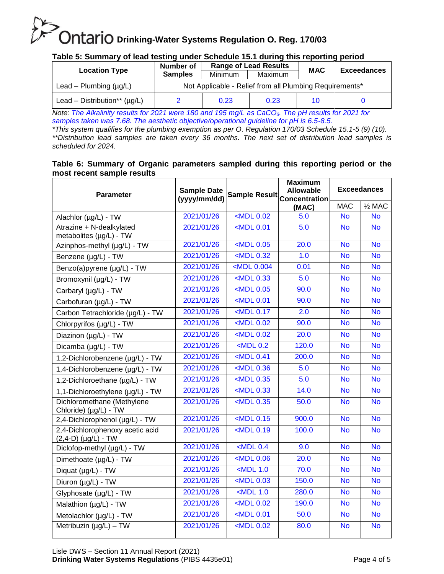#### **Table 5: Summary of lead testing under Schedule 15.1 during this reporting period**

| <b>Location Type</b>              | Number of                                               | <b>Range of Lead Results</b> |         | <b>MAC</b> | <b>Exceedances</b> |  |  |
|-----------------------------------|---------------------------------------------------------|------------------------------|---------|------------|--------------------|--|--|
|                                   | <b>Samples</b>                                          | <b>Minimum</b>               | Maximum |            |                    |  |  |
| Lead – Plumbing $(\mu g/L)$       | Not Applicable - Relief from all Plumbing Requirements* |                              |         |            |                    |  |  |
| Lead – Distribution** $(\mu q/L)$ |                                                         | 0.23                         | 0.23    | 10         |                    |  |  |

*Note: The Alkalinity results for 2021 were 180 and 195 mg/L as CaCO3. The pH results for 2021 for samples taken was 7.68. The aesthetic objective/operational guideline for pH is 6.5-8.5.*

*\*This system qualifies for the plumbing exemption as per O. Regulation 170/03 Schedule 15.1-5 (9) (10). \*\*Distribution lead samples are taken every 36 months. The next set of distribution lead samples is scheduled for 2024.*

#### **Table 6: Summary of Organic parameters sampled during this reporting period or the most recent sample results**

| <b>Parameter</b>                                         | <b>Sample Date</b><br>(yyyy/mm/dd) |                                                                              | <b>Maximum</b><br><b>Allowable</b><br>Sample Result Concentration | <b>Exceedances</b> |                   |
|----------------------------------------------------------|------------------------------------|------------------------------------------------------------------------------|-------------------------------------------------------------------|--------------------|-------------------|
|                                                          |                                    |                                                                              | (MAC)                                                             | <b>MAC</b>         | $\frac{1}{2}$ MAC |
| Alachlor $(\mu g/L)$ - TW                                | 2021/01/26                         | $<$ MDL $0.02$                                                               | 5.0                                                               | <b>No</b>          | <b>No</b>         |
| Atrazine + N-dealkylated<br>metabolites (µg/L) - TW      | 2021/01/26                         | $<$ MDL $0.01$                                                               | 5.0                                                               | <b>No</b>          | <b>No</b>         |
| Azinphos-methyl (µg/L) - TW                              | 2021/01/26                         | $<$ MDL 0.05                                                                 | 20.0                                                              | <b>No</b>          | <b>No</b>         |
| Benzene (µg/L) - TW                                      | 2021/01/26                         | <mdl 0.32<="" td=""><td>1.0</td><td><b>No</b></td><td><b>No</b></td></mdl>   | 1.0                                                               | <b>No</b>          | <b>No</b>         |
| Benzo(a)pyrene (µg/L) - TW                               | 2021/01/26                         | <mdl 0.004<="" td=""><td>0.01</td><td><b>No</b></td><td><b>No</b></td></mdl> | 0.01                                                              | <b>No</b>          | <b>No</b>         |
| Bromoxynil (µg/L) - TW                                   | 2021/01/26                         | $<$ MDL 0.33                                                                 | 5.0                                                               | <b>No</b>          | <b>No</b>         |
| Carbaryl (µg/L) - TW                                     | 2021/01/26                         | $<$ MDL $0.05$                                                               | 90.0                                                              | <b>No</b>          | <b>No</b>         |
| Carbofuran (µg/L) - TW                                   | 2021/01/26                         | <mdl 0.01<="" td=""><td>90.0</td><td><b>No</b></td><td><b>No</b></td></mdl>  | 90.0                                                              | <b>No</b>          | <b>No</b>         |
| Carbon Tetrachloride (µg/L) - TW                         | 2021/01/26                         | <mdl 0.17<="" td=""><td>2.0</td><td><b>No</b></td><td><b>No</b></td></mdl>   | 2.0                                                               | <b>No</b>          | <b>No</b>         |
| Chlorpyrifos (µg/L) - TW                                 | 2021/01/26                         | <mdl 0.02<="" td=""><td>90.0</td><td><b>No</b></td><td><b>No</b></td></mdl>  | 90.0                                                              | <b>No</b>          | <b>No</b>         |
| Diazinon (µg/L) - TW                                     | 2021/01/26                         | $MDL$ 0.02                                                                   | 20.0                                                              | <b>No</b>          | $\overline{N}$    |
| Dicamba (µg/L) - TW                                      | 2021/01/26                         | $<$ MDL 0.2                                                                  | 120.0                                                             | <b>No</b>          | <b>No</b>         |
| 1,2-Dichlorobenzene (µg/L) - TW                          | 2021/01/26                         | <mdl 0.41<="" td=""><td>200.0</td><td><b>No</b></td><td><b>No</b></td></mdl> | 200.0                                                             | <b>No</b>          | <b>No</b>         |
| 1,4-Dichlorobenzene (µg/L) - TW                          | 2021/01/26                         | <mdl 0.36<="" td=""><td>5.0</td><td><b>No</b></td><td><b>No</b></td></mdl>   | 5.0                                                               | <b>No</b>          | <b>No</b>         |
| 1,2-Dichloroethane (µg/L) - TW                           | 2021/01/26                         | $<$ MDL 0.35                                                                 | 5.0                                                               | <b>No</b>          | <b>No</b>         |
| 1,1-Dichloroethylene (µg/L) - TW                         | 2021/01/26                         | $<$ MDL 0.33                                                                 | 14.0                                                              | <b>No</b>          | <b>No</b>         |
| Dichloromethane (Methylene<br>Chloride) (µg/L) - TW      | 2021/01/26                         | $<$ MDL 0.35                                                                 | 50.0                                                              | <b>No</b>          | <b>No</b>         |
| 2,4-Dichlorophenol (µg/L) - TW                           | 2021/01/26                         | $<$ MDL $0.15$                                                               | 900.0                                                             | <b>No</b>          | <b>No</b>         |
| 2,4-Dichlorophenoxy acetic acid<br>$(2,4-D)$ (µg/L) - TW | 2021/01/26                         | $MDL$ 0.19                                                                   | 100.0                                                             | <b>No</b>          | <b>No</b>         |
| Diclofop-methyl (µg/L) - TW                              | 2021/01/26                         | $<$ MDL 0.4                                                                  | 9.0                                                               | <b>No</b>          | <b>No</b>         |
| Dimethoate (µg/L) - TW                                   | 2021/01/26                         | <mdl 0.06<="" td=""><td>20.0</td><td><b>No</b></td><td><b>No</b></td></mdl>  | 20.0                                                              | <b>No</b>          | <b>No</b>         |
| Diquat (µg/L) - TW                                       | 2021/01/26                         | $<$ MDL 1.0                                                                  | 70.0                                                              | <b>No</b>          | <b>No</b>         |
| Diuron (µg/L) - TW                                       | 2021/01/26                         | <mdl 0.03<="" td=""><td>150.0</td><td><b>No</b></td><td><b>No</b></td></mdl> | 150.0                                                             | <b>No</b>          | <b>No</b>         |
| Glyphosate (µg/L) - TW                                   | 2021/01/26                         | $<$ MDL 1.0                                                                  | 280.0                                                             | <b>No</b>          | <b>No</b>         |
| Malathion (µg/L) - TW                                    | 2021/01/26                         | $<$ MDL $0.02$                                                               | 190.0                                                             | <b>No</b>          | <b>No</b>         |
| Metolachlor (µg/L) - TW                                  | 2021/01/26                         | <mdl 0.01<="" td=""><td>50.0</td><td><b>No</b></td><td><b>No</b></td></mdl>  | 50.0                                                              | <b>No</b>          | <b>No</b>         |
| Metribuzin (µg/L) - TW                                   | 2021/01/26                         | $MDL$ 0.02                                                                   | 80.0                                                              | <b>No</b>          | <b>No</b>         |